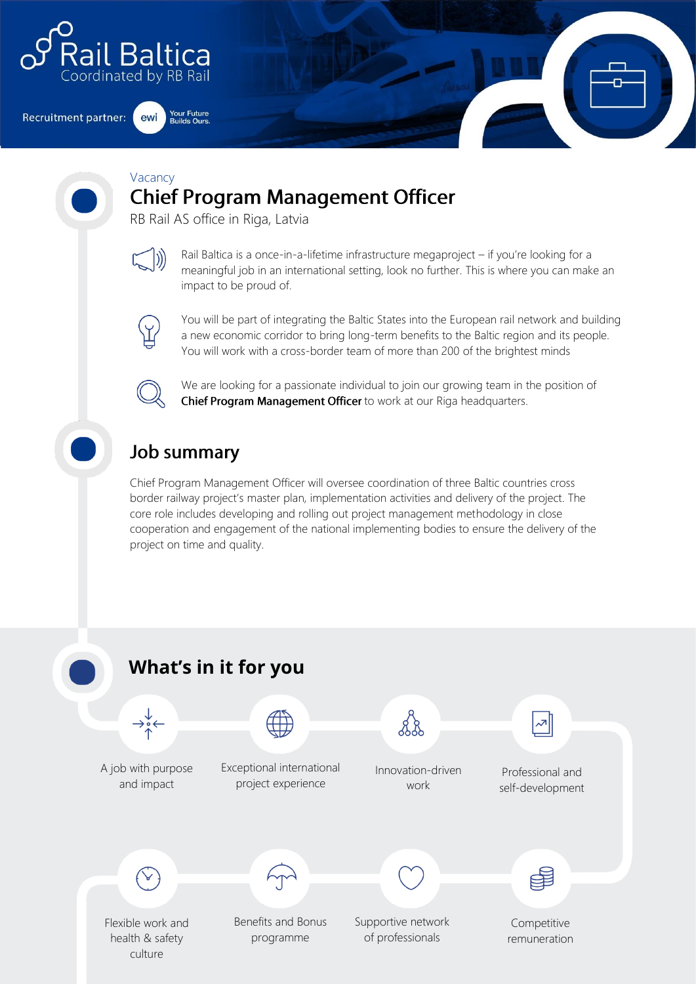

**Recruitment partner:** ewi

**Your Future**<br>Builds Ours

#### Vacancy **Chief Program Management Officer**

RB Rail AS office in Riga, Latvia

Rail Baltica is a once-in-a-lifetime infrastructure megaproject – if you're looking for a meaningful job in an international setting, look no further. This is where you can make an impact to be proud of.



You will be part of integrating the Baltic States into the European rail network and building a new economic corridor to bring long-term benefits to the Baltic region and its people. You will work with a cross-border team of more than 200 of the brightest minds



We are looking for a passionate individual to join our growing team in the position of Chief Program Management Officer to work at our Riga headquarters.

# **Job summary**

Chief Program Management Officer will oversee coordination of three Baltic countries cross border railway project's master plan, implementation activities and delivery of the project. The core role includes developing and rolling out project management methodology in close cooperation and engagement of the national implementing bodies to ensure the delivery of the project on time and quality.